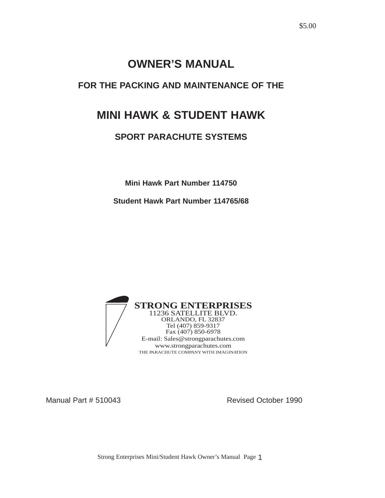### **OWNER'S MANUAL**

### **FOR THE PACKING AND MAINTENANCE OF THE**

## **MINI HAWK & STUDENT HAWK**

### **SPORT PARACHUTE SYSTEMS**

**Mini Hawk Part Number 114750**

**Student Hawk Part Number 114765/68**



Manual Part # 510043 Revised October 1990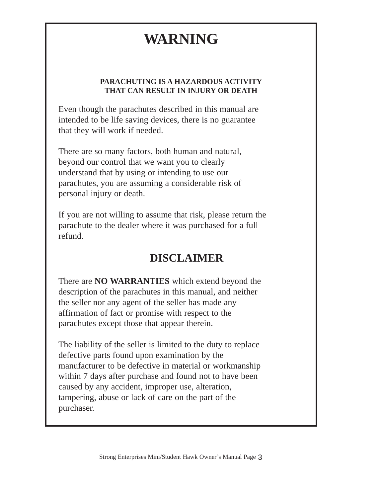# **WARNING**

#### **PARACHUTING IS A HAZARDOUS ACTIVITY THAT CAN RESULT IN INJURY OR DEATH**

Even though the parachutes described in this manual are intended to be life saving devices, there is no guarantee that they will work if needed.

There are so many factors, both human and natural, beyond our control that we want you to clearly understand that by using or intending to use our parachutes, you are assuming a considerable risk of personal injury or death.

If you are not willing to assume that risk, please return the parachute to the dealer where it was purchased for a full refund.

## **DISCLAIMER**

There are **NO WARRANTIES** which extend beyond the description of the parachutes in this manual, and neither the seller nor any agent of the seller has made any affirmation of fact or promise with respect to the parachutes except those that appear therein.

The liability of the seller is limited to the duty to replace defective parts found upon examination by the manufacturer to be defective in material or workmanship within 7 days after purchase and found not to have been caused by any accident, improper use, alteration, tampering, abuse or lack of care on the part of the purchaser.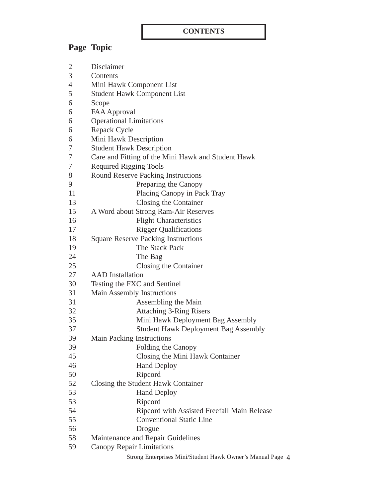### **CONTENTS**

## **Page Topic**

| $\overline{2}$ | Disclaimer                                                 |  |  |
|----------------|------------------------------------------------------------|--|--|
| 3              | Contents                                                   |  |  |
| $\overline{4}$ | Mini Hawk Component List                                   |  |  |
| 5              | <b>Student Hawk Component List</b>                         |  |  |
| 6              | Scope                                                      |  |  |
| 6              | <b>FAA Approval</b>                                        |  |  |
| 6              | <b>Operational Limitations</b>                             |  |  |
| 6              | Repack Cycle                                               |  |  |
| 6              | Mini Hawk Description                                      |  |  |
| 7              | <b>Student Hawk Description</b>                            |  |  |
| 7              | Care and Fitting of the Mini Hawk and Student Hawk         |  |  |
| 7              | <b>Required Rigging Tools</b>                              |  |  |
| 8              | <b>Round Reserve Packing Instructions</b>                  |  |  |
| 9              | Preparing the Canopy                                       |  |  |
| 11             | Placing Canopy in Pack Tray                                |  |  |
| 13             | Closing the Container                                      |  |  |
| 15             | A Word about Strong Ram-Air Reserves                       |  |  |
| 16             | <b>Flight Characteristics</b>                              |  |  |
| 17             | <b>Rigger Qualifications</b>                               |  |  |
| 18             | <b>Square Reserve Packing Instructions</b>                 |  |  |
| 19             | The Stack Pack                                             |  |  |
| 24             | The Bag                                                    |  |  |
| 25             | Closing the Container                                      |  |  |
| 27             | <b>AAD</b> Installation                                    |  |  |
| 30             | Testing the FXC and Sentinel                               |  |  |
| 31             | Main Assembly Instructions                                 |  |  |
| 31             | Assembling the Main                                        |  |  |
| 32             | <b>Attaching 3-Ring Risers</b>                             |  |  |
| 35             | Mini Hawk Deployment Bag Assembly                          |  |  |
| 37             | <b>Student Hawk Deployment Bag Assembly</b>                |  |  |
| 39             | <b>Main Packing Instructions</b>                           |  |  |
| 39             | Folding the Canopy                                         |  |  |
| 45             | Closing the Mini Hawk Container                            |  |  |
| 46             | <b>Hand Deploy</b>                                         |  |  |
| 50             | Ripcord                                                    |  |  |
| 52             | Closing the Student Hawk Container                         |  |  |
| 53             | <b>Hand Deploy</b>                                         |  |  |
| 53             | Ripcord                                                    |  |  |
| 54             | Ripcord with Assisted Freefall Main Release                |  |  |
| 55             | <b>Conventional Static Line</b>                            |  |  |
| 56             | Drogue                                                     |  |  |
| 58             | Maintenance and Repair Guidelines                          |  |  |
| 59             | Canopy Repair Limitations                                  |  |  |
|                | Strong Enterprises Mini/Student Hawk Owner's Manual Page 4 |  |  |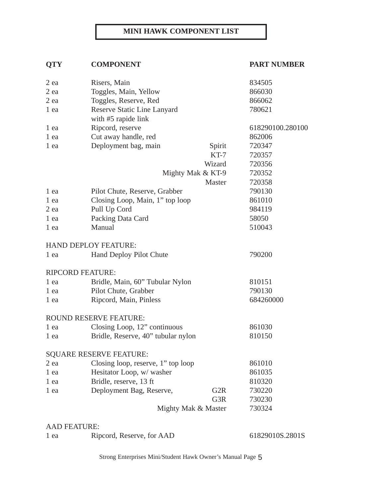#### **MINI HAWK COMPONENT LIST**

### **QTY COMPONENT PART NUMBER**

| 2 ea                | Risers, Main                       |                     | 834505           |
|---------------------|------------------------------------|---------------------|------------------|
| $2$ ea              | Toggles, Main, Yellow              | 866030              |                  |
| $2$ ea              | Toggles, Reserve, Red              | 866062              |                  |
| 1 ea                | Reserve Static Line Lanyard        |                     | 780621           |
|                     | with #5 rapide link                |                     |                  |
| 1 ea                | Ripcord, reserve                   |                     | 618290100.280100 |
| 1 ea                | Cut away handle, red               |                     | 862006           |
| 1 ea                | Deployment bag, main               | Spirit              | 720347           |
|                     |                                    | $KT-7$              | 720357           |
|                     |                                    | Wizard              | 720356           |
|                     |                                    | Mighty Mak & KT-9   | 720352           |
|                     |                                    | Master              | 720358           |
| 1 ea                | Pilot Chute, Reserve, Grabber      |                     | 790130           |
| 1 ea                | Closing Loop, Main, 1" top loop    |                     | 861010           |
| $2$ ea              | Pull Up Cord                       |                     | 984119           |
| 1 ea                | Packing Data Card                  |                     | 58050            |
| 1 ea                | Manual                             |                     | 510043           |
|                     | <b>HAND DEPLOY FEATURE:</b>        |                     |                  |
| 1 ea                | Hand Deploy Pilot Chute            |                     | 790200           |
|                     | <b>RIPCORD FEATURE:</b>            |                     |                  |
| 1 ea                | Bridle, Main, 60" Tubular Nylon    |                     | 810151           |
| 1 ea                | Pilot Chute, Grabber               |                     | 790130           |
| 1 ea                | Ripcord, Main, Pinless             |                     | 684260000        |
|                     | <b>ROUND RESERVE FEATURE:</b>      |                     |                  |
| 1 ea                | Closing Loop, 12" continuous       |                     | 861030           |
| 1 ea                | Bridle, Reserve, 40" tubular nylon |                     | 810150           |
|                     | <b>SQUARE RESERVE FEATURE:</b>     |                     |                  |
| $2$ ea              | Closing loop, reserve, 1" top loop |                     | 861010           |
| 1 ea                | Hesitator Loop, w/ washer          |                     | 861035           |
| 1 ea                | Bridle, reserve, 13 ft             |                     | 810320           |
| 1 ea                | Deployment Bag, Reserve,           | G <sub>2</sub> R    | 730220           |
|                     |                                    | G3R                 | 730230           |
|                     |                                    | Mighty Mak & Master | 730324           |
| <b>AAD FEATURE:</b> |                                    |                     |                  |

1 ea Ripcord, Reserve, for AAD 61829010S.2801S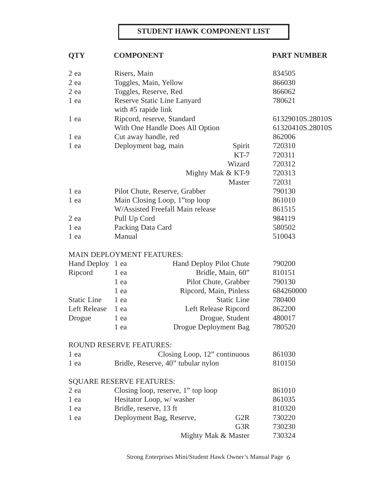#### **STUDENT HAWK COMPONENT LIST**

### **QTY** COMPONENT PART NUMBER

| 2 ea                | Risers, Main                     |                                     |                        | 834505           |
|---------------------|----------------------------------|-------------------------------------|------------------------|------------------|
| $2$ ea              | Toggles, Main, Yellow            |                                     |                        | 866030           |
| $2$ ea              | Toggles, Reserve, Red            |                                     |                        | 866062           |
| 1 ea                | Reserve Static Line Lanyard      |                                     |                        | 780621           |
|                     | with #5 rapide link              |                                     |                        |                  |
| 1 ea                | Ripcord, reserve, Standard       |                                     |                        | 61329010S.28010S |
|                     |                                  | With One Handle Does All Option     |                        | 61320410S.28010S |
| 1 ea                | Cut away handle, red             |                                     |                        | 862006           |
| 1 ea                | Deployment bag, main<br>Spirit   |                                     |                        | 720310           |
|                     |                                  |                                     | $KT-7$                 | 720311           |
|                     |                                  |                                     | Wizard                 | 720312           |
|                     |                                  |                                     | Mighty Mak & KT-9      | 720313           |
|                     |                                  |                                     | Master                 | 72031            |
| 1 ea                | Pilot Chute, Reserve, Grabber    |                                     |                        | 790130           |
| 1 ea                |                                  | Main Closing Loop, 1"top loop       |                        | 861010           |
|                     |                                  | W/Assisted Freefall Main release    |                        | 861515           |
| $2$ ea              | Pull Up Cord                     |                                     |                        | 984119           |
| 1 ea                | Packing Data Card                |                                     |                        | 580502           |
| 1 ea                | Manual                           |                                     |                        | 510043           |
|                     | <b>MAIN DEPLOYMENT FEATURES:</b> |                                     |                        |                  |
| Hand Deploy 1 ea    |                                  | Hand Deploy Pilot Chute             |                        | 790200           |
| Ripcord             | 1 ea                             |                                     | Bridle, Main, 60"      | 810151           |
|                     | 1 ea                             |                                     | Pilot Chute, Grabber   | 790130           |
|                     | 1 ea                             |                                     | Ripcord, Main, Pinless | 684260000        |
| <b>Static Line</b>  | 1 ea                             |                                     | <b>Static Line</b>     | 780400           |
| <b>Left Release</b> | 1 ea                             |                                     | Left Release Ripcord   | 862200           |
| Drogue              | 1 ea                             |                                     | Drogue, Student        | 480017           |
|                     | 1 ea                             | Drogue Deployment Bag               |                        | 780520           |
|                     |                                  |                                     |                        |                  |
|                     | ROUND RESERVE FEATURES:          |                                     |                        | 861030           |
| 1 ea                |                                  | Closing Loop, 12" continuous        |                        |                  |
| 1 ea                |                                  | Bridle, Reserve, 40" tubular nylon  |                        | 810150           |
|                     | <b>SQUARE RESERVE FEATURES:</b>  |                                     |                        |                  |
| $2$ ea              |                                  | Closing loop, reserve, 1" top loop  |                        | 861010           |
| 1 ea                |                                  | Hesitator Loop, w/ washer<br>861035 |                        |                  |
| 1 ea                | Bridle, reserve, 13 ft           |                                     |                        | 810320           |
| 1 ea                | Deployment Bag, Reserve,         |                                     | G <sub>2</sub> R       | 730220           |
|                     |                                  |                                     | G3R                    | 730230           |
|                     |                                  |                                     | Mighty Mak & Master    | 730324           |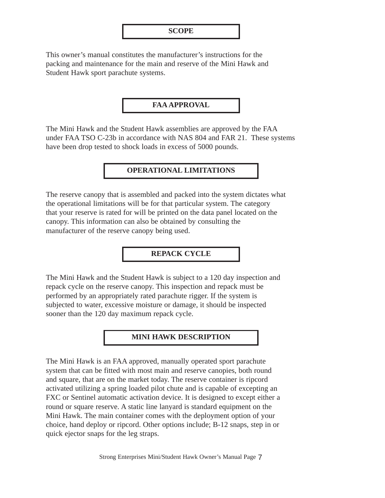This owner's manual constitutes the manufacturer's instructions for the packing and maintenance for the main and reserve of the Mini Hawk and Student Hawk sport parachute systems.

#### **FAA APPROVAL**

The Mini Hawk and the Student Hawk assemblies are approved by the FAA under FAA TSO C-23b in accordance with NAS 804 and FAR 21. These systems have been drop tested to shock loads in excess of 5000 pounds.

#### **OPERATIONAL LIMITATIONS**

The reserve canopy that is assembled and packed into the system dictates what the operational limitations will be for that particular system. The category that your reserve is rated for will be printed on the data panel located on the canopy. This information can also be obtained by consulting the manufacturer of the reserve canopy being used.

#### **REPACK CYCLE**

The Mini Hawk and the Student Hawk is subject to a 120 day inspection and repack cycle on the reserve canopy. This inspection and repack must be performed by an appropriately rated parachute rigger. If the system is subjected to water, excessive moisture or damage, it should be inspected sooner than the 120 day maximum repack cycle.

#### **MINI HAWK DESCRIPTION**

The Mini Hawk is an FAA approved, manually operated sport parachute system that can be fitted with most main and reserve canopies, both round and square, that are on the market today. The reserve container is ripcord activated utilizing a spring loaded pilot chute and is capable of excepting an FXC or Sentinel automatic activation device. It is designed to except either a round or square reserve. A static line lanyard is standard equipment on the Mini Hawk. The main container comes with the deployment option of your choice, hand deploy or ripcord. Other options include; B-12 snaps, step in or quick ejector snaps for the leg straps.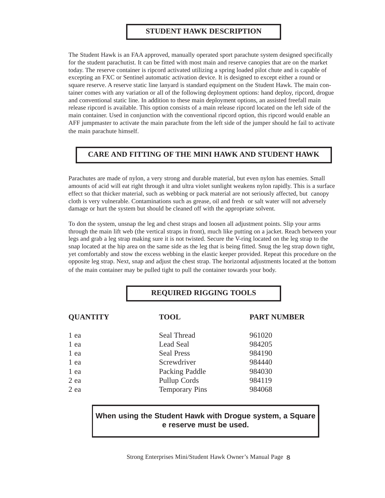#### **STUDENT HAWK DESCRIPTION**

The Student Hawk is an FAA approved, manually operated sport parachute system designed specifically for the student parachutist. It can be fitted with most main and reserve canopies that are on the market today. The reserve container is ripcord activated utilizing a spring loaded pilot chute and is capable of excepting an FXC or Sentinel automatic activation device. It is designed to except either a round or square reserve. A reserve static line lanyard is standard equipment on the Student Hawk. The main container comes with any variation or all of the following deployment options: hand deploy, ripcord, drogue and conventional static line. In addition to these main deployment options, an assisted freefall main release ripcord is available. This option consists of a main release ripcord located on the left side of the main container. Used in conjunction with the conventional ripcord option, this ripcord would enable an AFF jumpmaster to activate the main parachute from the left side of the jumper should he fail to activate the main parachute himself.

#### **CARE AND FITTING OF THE MINI HAWK AND STUDENT HAWK**

Parachutes are made of nylon, a very strong and durable material, but even nylon has enemies. Small amounts of acid will eat right through it and ultra violet sunlight weakens nylon rapidly. This is a surface effect so that thicker material, such as webbing or pack material are not seriously affected, but canopy cloth is very vulnerable. Contaminations such as grease, oil and fresh or salt water will not adversely damage or hurt the system but should be cleaned off with the appropriate solvent.

To don the system, unsnap the leg and chest straps and loosen all adjustment points. Slip your arms through the main lift web (the vertical straps in front), much like putting on a jacket. Reach between your legs and grab a leg strap making sure it is not twisted. Secure the V-ring located on the leg strap to the snap located at the hip area on the same side as the leg that is being fitted. Snug the leg strap down tight, yet comfortably and stow the excess webbing in the elastic keeper provided. Repeat this procedure on the opposite leg strap. Next, snap and adjust the chest strap. The horizontal adjustments located at the bottom of the main container may be pulled tight to pull the container towards your body.

#### **REQUIRED RIGGING TOOLS**

| <b>QUANTITY</b> | <b>TOOL</b>           | <b>PART NUMBER</b> |
|-----------------|-----------------------|--------------------|
| 1 ea            | Seal Thread           | 961020             |
| 1 ea            | Lead Seal             | 984205             |
| 1 ea            | <b>Seal Press</b>     | 984190             |
| 1 ea            | Screwdriver           | 984440             |
| 1 ea            | Packing Paddle        | 984030             |
| 2 ea            | Pullup Cords          | 984119             |
| 2 ea            | <b>Temporary Pins</b> | 984068             |

#### **When using the Student Hawk with Drogue system, a Square e reserve must be used.**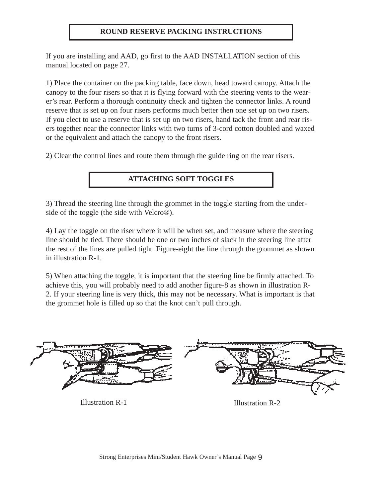#### **ROUND RESERVE PACKING INSTRUCTIONS**

If you are installing and AAD, go first to the AAD INSTALLATION section of this manual located on page 27.

1) Place the container on the packing table, face down, head toward canopy. Attach the canopy to the four risers so that it is flying forward with the steering vents to the wearer's rear. Perform a thorough continuity check and tighten the connector links. A round reserve that is set up on four risers performs much better then one set up on two risers. If you elect to use a reserve that is set up on two risers, hand tack the front and rear risers together near the connector links with two turns of 3-cord cotton doubled and waxed or the equivalent and attach the canopy to the front risers.

2) Clear the control lines and route them through the guide ring on the rear risers.

#### **ATTACHING SOFT TOGGLES**

3) Thread the steering line through the grommet in the toggle starting from the underside of the toggle (the side with Velcro®).

4) Lay the toggle on the riser where it will be when set, and measure where the steering line should be tied. There should be one or two inches of slack in the steering line after the rest of the lines are pulled tight. Figure-eight the line through the grommet as shown in illustration R-1.

5) When attaching the toggle, it is important that the steering line be firmly attached. To achieve this, you will probably need to add another figure-8 as shown in illustration R-2. If your steering line is very thick, this may not be necessary. What is important is that the grommet hole is filled up so that the knot can't pull through.



Illustration R-1 Illustration R-2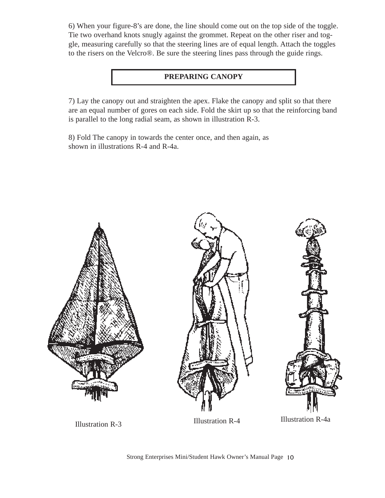6) When your figure-8's are done, the line should come out on the top side of the toggle. Tie two overhand knots snugly against the grommet. Repeat on the other riser and toggle, measuring carefully so that the steering lines are of equal length. Attach the toggles to the risers on the Velcro®. Be sure the steering lines pass through the guide rings.

#### **PREPARING CANOPY**

7) Lay the canopy out and straighten the apex. Flake the canopy and split so that there are an equal number of gores on each side. Fold the skirt up so that the reinforcing band is parallel to the long radial seam, as shown in illustration R-3.

8) Fold The canopy in towards the center once, and then again, as shown in illustrations R-4 and R-4a.



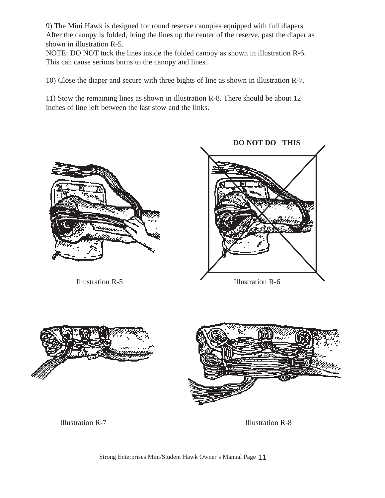9) The Mini Hawk is designed for round reserve canopies equipped with full diapers. After the canopy is folded, bring the lines up the center of the reserve, past the diaper as shown in illustration R-5.

NOTE: DO NOT tuck the lines inside the folded canopy as shown in illustration R-6. This can cause serious burns to the canopy and lines.

10) Close the diaper and secure with three bights of line as shown in illustration R-7.

11) Stow the remaining lines as shown in illustration R-8. There should be about 12 inches of line left between the last stow and the links.





Illustration R-7 Illustration R-8

**DO NOT DO THIS**

Strong Enterprises Mini/Student Hawk Owner's Manual Page 11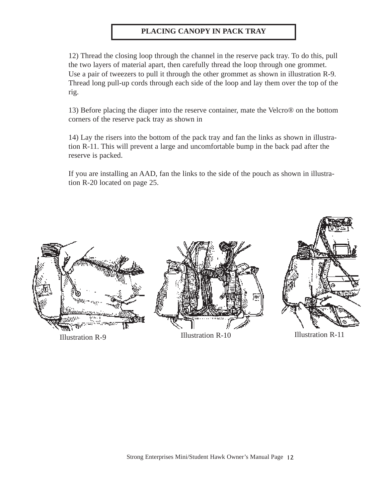#### **PLACING CANOPY IN PACK TRAY**

12) Thread the closing loop through the channel in the reserve pack tray. To do this, pull the two layers of material apart, then carefully thread the loop through one grommet. Use a pair of tweezers to pull it through the other grommet as shown in illustration R-9. Thread long pull-up cords through each side of the loop and lay them over the top of the rig.

13) Before placing the diaper into the reserve container, mate the Velcro® on the bottom corners of the reserve pack tray as shown in

14) Lay the risers into the bottom of the pack tray and fan the links as shown in illustration R-11. This will prevent a large and uncomfortable bump in the back pad after the reserve is packed.

If you are installing an AAD, fan the links to the side of the pouch as shown in illustration R-20 located on page 25.

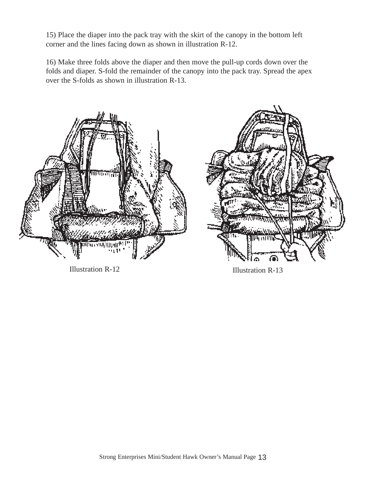15) Place the diaper into the pack tray with the skirt of the canopy in the bottom left corner and the lines facing down as shown in illustration R-12.

16) Make three folds above the diaper and then move the pull-up cords down over the folds and diaper. S-fold the remainder of the canopy into the pack tray. Spread the apex over the S-folds as shown in illustration R-13.



Illustration R-12 Illustration R-13

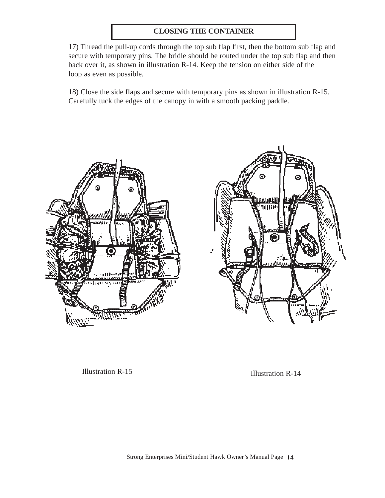#### **CLOSING THE CONTAINER**

17) Thread the pull-up cords through the top sub flap first, then the bottom sub flap and secure with temporary pins. The bridle should be routed under the top sub flap and then back over it, as shown in illustration R-14. Keep the tension on either side of the loop as even as possible.

18) Close the side flaps and secure with temporary pins as shown in illustration R-15. Carefully tuck the edges of the canopy in with a smooth packing paddle.





Illustration R-15 Illustration R-14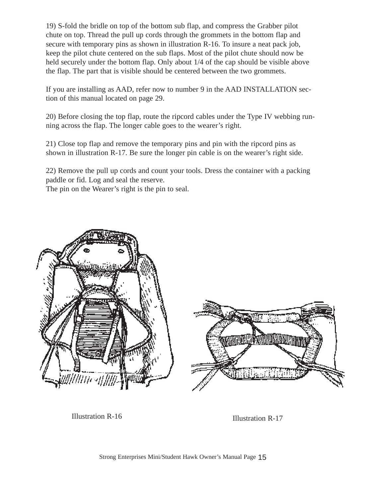19) S-fold the bridle on top of the bottom sub flap, and compress the Grabber pilot chute on top. Thread the pull up cords through the grommets in the bottom flap and secure with temporary pins as shown in illustration R-16. To insure a neat pack job, keep the pilot chute centered on the sub flaps. Most of the pilot chute should now be held securely under the bottom flap. Only about 1/4 of the cap should be visible above the flap. The part that is visible should be centered between the two grommets.

If you are installing as AAD, refer now to number 9 in the AAD INSTALLATION section of this manual located on page 29.

20) Before closing the top flap, route the ripcord cables under the Type IV webbing running across the flap. The longer cable goes to the wearer's right.

21) Close top flap and remove the temporary pins and pin with the ripcord pins as shown in illustration R-17. Be sure the longer pin cable is on the wearer's right side.

22) Remove the pull up cords and count your tools. Dress the container with a packing paddle or fid. Log and seal the reserve.

The pin on the Wearer's right is the pin to seal.



Illustration R-16 Illustration R-17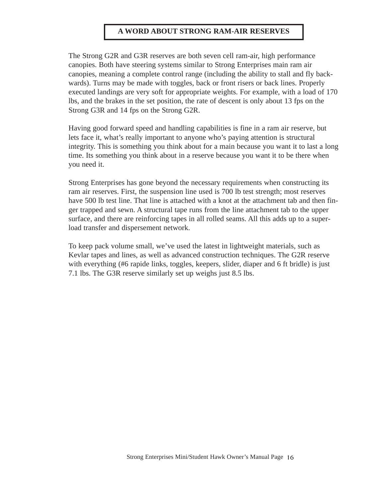#### **A WORD ABOUT STRONG RAM-AIR RESERVES**

The Strong G2R and G3R reserves are both seven cell ram-air, high performance canopies. Both have steering systems similar to Strong Enterprises main ram air canopies, meaning a complete control range (including the ability to stall and fly backwards). Turns may be made with toggles, back or front risers or back lines. Properly executed landings are very soft for appropriate weights. For example, with a load of 170 lbs, and the brakes in the set position, the rate of descent is only about 13 fps on the Strong G3R and 14 fps on the Strong G2R.

Having good forward speed and handling capabilities is fine in a ram air reserve, but lets face it, what's really important to anyone who's paying attention is structural integrity. This is something you think about for a main because you want it to last a long time. Its something you think about in a reserve because you want it to be there when you need it.

Strong Enterprises has gone beyond the necessary requirements when constructing its ram air reserves. First, the suspension line used is 700 lb test strength; most reserves have 500 lb test line. That line is attached with a knot at the attachment tab and then finger trapped and sewn. A structural tape runs from the line attachment tab to the upper surface, and there are reinforcing tapes in all rolled seams. All this adds up to a superload transfer and dispersement network.

To keep pack volume small, we've used the latest in lightweight materials, such as Kevlar tapes and lines, as well as advanced construction techniques. The G2R reserve with everything (#6 rapide links, toggles, keepers, slider, diaper and 6 ft bridle) is just 7.1 lbs. The G3R reserve similarly set up weighs just 8.5 lbs.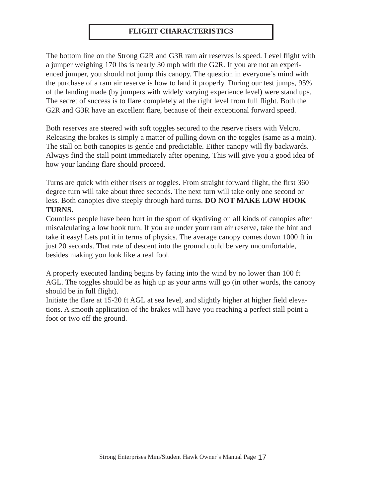#### **FLIGHT CHARACTERISTICS**

The bottom line on the Strong G2R and G3R ram air reserves is speed. Level flight with a jumper weighing 170 lbs is nearly 30 mph with the G2R. If you are not an experienced jumper, you should not jump this canopy. The question in everyone's mind with the purchase of a ram air reserve is how to land it properly. During our test jumps, 95% of the landing made (by jumpers with widely varying experience level) were stand ups. The secret of success is to flare completely at the right level from full flight. Both the G2R and G3R have an excellent flare, because of their exceptional forward speed.

Both reserves are steered with soft toggles secured to the reserve risers with Velcro. Releasing the brakes is simply a matter of pulling down on the toggles (same as a main). The stall on both canopies is gentle and predictable. Either canopy will fly backwards. Always find the stall point immediately after opening. This will give you a good idea of how your landing flare should proceed.

Turns are quick with either risers or toggles. From straight forward flight, the first 360 degree turn will take about three seconds. The next turn will take only one second or less. Both canopies dive steeply through hard turns. **DO NOT MAKE LOW HOOK TURNS.**

Countless people have been hurt in the sport of skydiving on all kinds of canopies after miscalculating a low hook turn. If you are under your ram air reserve, take the hint and take it easy! Lets put it in terms of physics. The average canopy comes down 1000 ft in just 20 seconds. That rate of descent into the ground could be very uncomfortable, besides making you look like a real fool.

A properly executed landing begins by facing into the wind by no lower than 100 ft AGL. The toggles should be as high up as your arms will go (in other words, the canopy should be in full flight).

Initiate the flare at 15-20 ft AGL at sea level, and slightly higher at higher field elevations. A smooth application of the brakes will have you reaching a perfect stall point a foot or two off the ground.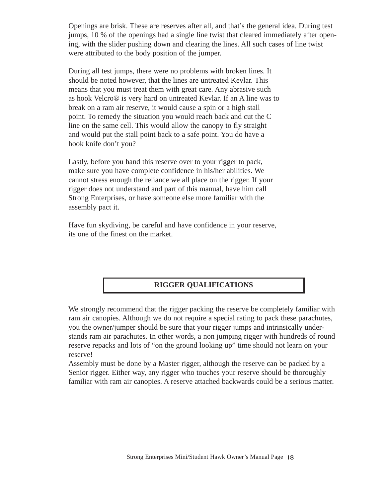Openings are brisk. These are reserves after all, and that's the general idea. During test jumps, 10 % of the openings had a single line twist that cleared immediately after opening, with the slider pushing down and clearing the lines. All such cases of line twist were attributed to the body position of the jumper.

During all test jumps, there were no problems with broken lines. It should be noted however, that the lines are untreated Kevlar. This means that you must treat them with great care. Any abrasive such as hook Velcro® is very hard on untreated Kevlar. If an A line was to break on a ram air reserve, it would cause a spin or a high stall point. To remedy the situation you would reach back and cut the C line on the same cell. This would allow the canopy to fly straight and would put the stall point back to a safe point. You do have a hook knife don't you?

Lastly, before you hand this reserve over to your rigger to pack, make sure you have complete confidence in his/her abilities. We cannot stress enough the reliance we all place on the rigger. If your rigger does not understand and part of this manual, have him call Strong Enterprises, or have someone else more familiar with the assembly pact it.

Have fun skydiving, be careful and have confidence in your reserve, its one of the finest on the market.

#### **RIGGER QUALIFICATIONS**

We strongly recommend that the rigger packing the reserve be completely familiar with ram air canopies. Although we do not require a special rating to pack these parachutes, you the owner/jumper should be sure that your rigger jumps and intrinsically understands ram air parachutes. In other words, a non jumping rigger with hundreds of round reserve repacks and lots of "on the ground looking up" time should not learn on your reserve!

Assembly must be done by a Master rigger, although the reserve can be packed by a Senior rigger. Either way, any rigger who touches your reserve should be thoroughly familiar with ram air canopies. A reserve attached backwards could be a serious matter.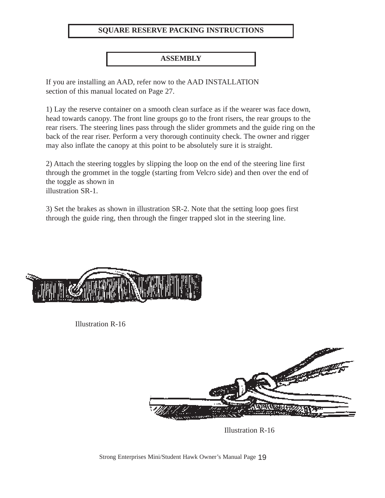#### **SQUARE RESERVE PACKING INSTRUCTIONS**

#### **ASSEMBLY**

If you are installing an AAD, refer now to the AAD INSTALLATION section of this manual located on Page 27.

1) Lay the reserve container on a smooth clean surface as if the wearer was face down, head towards canopy. The front line groups go to the front risers, the rear groups to the rear risers. The steering lines pass through the slider grommets and the guide ring on the back of the rear riser. Perform a very thorough continuity check. The owner and rigger may also inflate the canopy at this point to be absolutely sure it is straight.

2) Attach the steering toggles by slipping the loop on the end of the steering line first through the grommet in the toggle (starting from Velcro side) and then over the end of the toggle as shown in illustration SR-1.

3) Set the brakes as shown in illustration SR-2. Note that the setting loop goes first through the guide ring, then through the finger trapped slot in the steering line.



Illustration R-16



Illustration R-16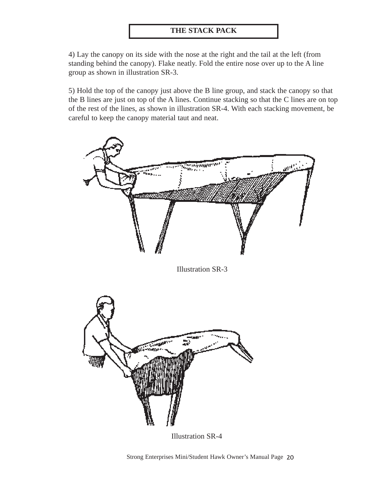#### **THE STACK PACK**

4) Lay the canopy on its side with the nose at the right and the tail at the left (from standing behind the canopy). Flake neatly. Fold the entire nose over up to the A line group as shown in illustration SR-3.

5) Hold the top of the canopy just above the B line group, and stack the canopy so that the B lines are just on top of the A lines. Continue stacking so that the C lines are on top of the rest of the lines, as shown in illustration SR-4. With each stacking movement, be careful to keep the canopy material taut and neat.



Illustration SR-3



Illustration SR-4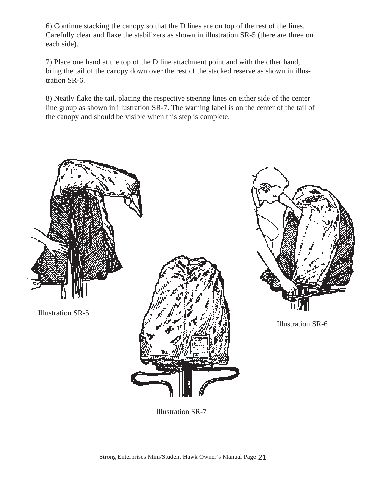6) Continue stacking the canopy so that the D lines are on top of the rest of the lines. Carefully clear and flake the stabilizers as shown in illustration SR-5 (there are three on each side).

7) Place one hand at the top of the D line attachment point and with the other hand, bring the tail of the canopy down over the rest of the stacked reserve as shown in illustration SR-6.

8) Neatly flake the tail, placing the respective steering lines on either side of the center line group as shown in illustration SR-7. The warning label is on the center of the tail of the canopy and should be visible when this step is complete.



Illustration SR-5





Illustration SR-6

Illustration SR-7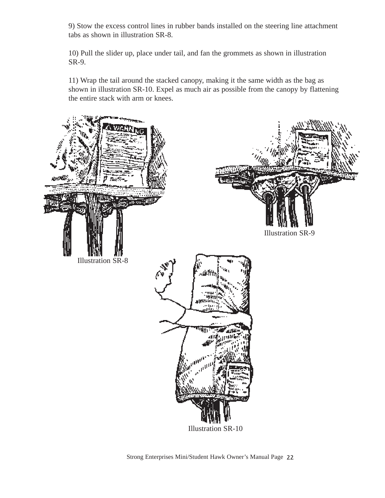9) Stow the excess control lines in rubber bands installed on the steering line attachment tabs as shown in illustration SR-8.

10) Pull the slider up, place under tail, and fan the grommets as shown in illustration SR-9.

11) Wrap the tail around the stacked canopy, making it the same width as the bag as shown in illustration SR-10. Expel as much air as possible from the canopy by flattening the entire stack with arm or knees.

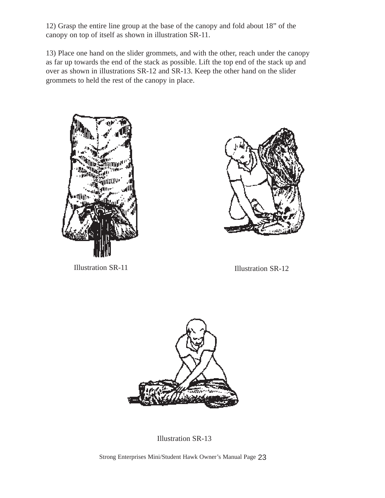12) Grasp the entire line group at the base of the canopy and fold about 18" of the canopy on top of itself as shown in illustration SR-11.

13) Place one hand on the slider grommets, and with the other, reach under the canopy as far up towards the end of the stack as possible. Lift the top end of the stack up and over as shown in illustrations SR-12 and SR-13. Keep the other hand on the slider grommets to held the rest of the canopy in place.



Illustration SR-11



Illustration SR-12



Illustration SR-13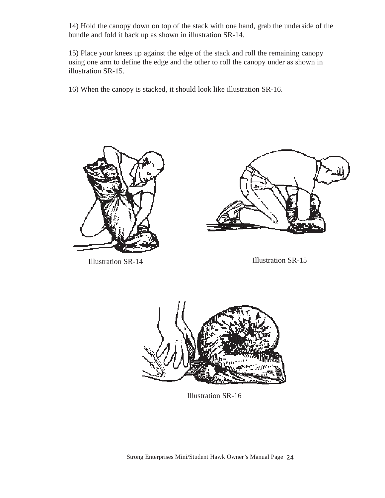14) Hold the canopy down on top of the stack with one hand, grab the underside of the bundle and fold it back up as shown in illustration SR-14.

15) Place your knees up against the edge of the stack and roll the remaining canopy using one arm to define the edge and the other to roll the canopy under as shown in illustration SR-15.

16) When the canopy is stacked, it should look like illustration SR-16.





Illustration SR-14 Illustration SR-15



Illustration SR-16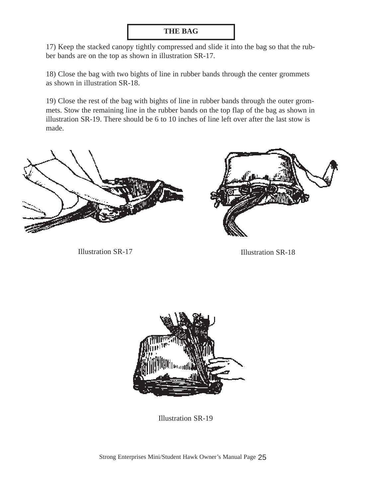#### **THE BAG**

17) Keep the stacked canopy tightly compressed and slide it into the bag so that the rubber bands are on the top as shown in illustration SR-17.

18) Close the bag with two bights of line in rubber bands through the center grommets as shown in illustration SR-18.

19) Close the rest of the bag with bights of line in rubber bands through the outer grommets. Stow the remaining line in the rubber bands on the top flap of the bag as shown in illustration SR-19. There should be 6 to 10 inches of line left over after the last stow is made.



Illustration SR-17 Illustration SR-18





Illustration SR-19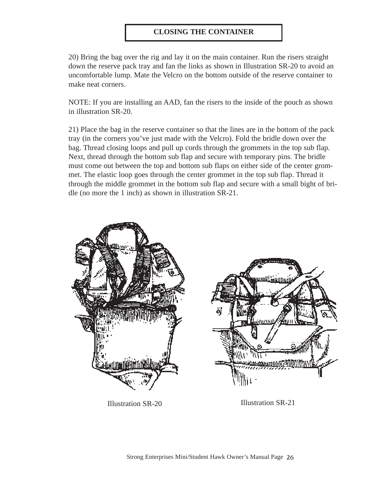#### **CLOSING THE CONTAINER**

20) Bring the bag over the rig and lay it on the main container. Run the risers straight down the reserve pack tray and fan the links as shown in Illustration SR-20 to avoid an uncomfortable lump. Mate the Velcro on the bottom outside of the reserve container to make neat corners.

NOTE: If you are installing an AAD, fan the risers to the inside of the pouch as shown in illustration SR-20.

21) Place the bag in the reserve container so that the lines are in the bottom of the pack tray (in the corners you've just made with the Velcro). Fold the bridle down over the bag. Thread closing loops and pull up cords through the grommets in the top sub flap. Next, thread through the bottom sub flap and secure with temporary pins. The bridle must come out between the top and bottom sub flaps on either side of the center grommet. The elastic loop goes through the center grommet in the top sub flap. Thread it through the middle grommet in the bottom sub flap and secure with a small bight of bridle (no more the 1 inch) as shown in illustration SR-21.



Illustration SR-20 Illustration SR-21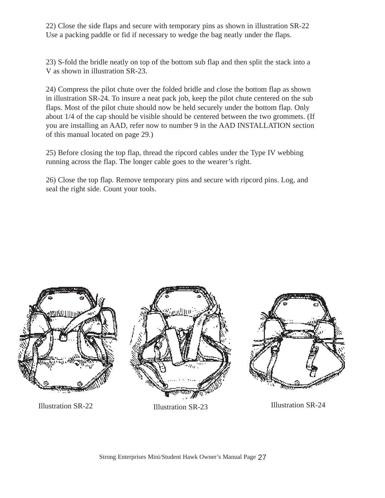22) Close the side flaps and secure with temporary pins as shown in illustration SR-22 Use a packing paddle or fid if necessary to wedge the bag neatly under the flaps.

23) S-fold the bridle neatly on top of the bottom sub flap and then split the stack into a V as shown in illustration SR-23.

24) Compress the pilot chute over the folded bridle and close the bottom flap as shown in illustration SR-24. To insure a neat pack job, keep the pilot chute centered on the sub flaps. Most of the pilot chute should now be held securely under the bottom flap. Only about 1/4 of the cap should be visible should be centered between the two grommets. (If you are installing an AAD, refer now to number 9 in the AAD INSTALLATION section of this manual located on page 29.)

25) Before closing the top flap, thread the ripcord cables under the Type IV webbing running across the flap. The longer cable goes to the wearer's right.

26) Close the top flap. Remove temporary pins and secure with ripcord pins. Log, and seal the right side. Count your tools.



Illustration SR-22 Illustration SR-23 Illustration SR-24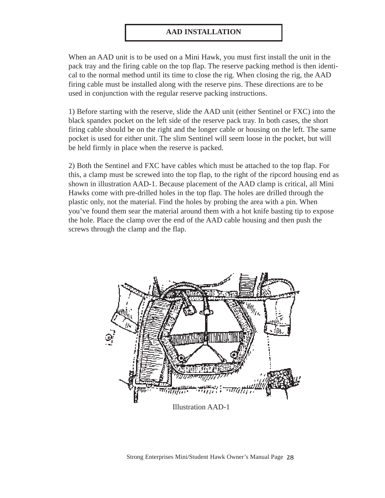#### **AAD INSTALLATION**

When an AAD unit is to be used on a Mini Hawk, you must first install the unit in the pack tray and the firing cable on the top flap. The reserve packing method is then identical to the normal method until its time to close the rig. When closing the rig, the AAD firing cable must be installed along with the reserve pins. These directions are to be used in conjunction with the regular reserve packing instructions.

1) Before starting with the reserve, slide the AAD unit (either Sentinel or FXC) into the black spandex pocket on the left side of the reserve pack tray. In both cases, the short firing cable should be on the right and the longer cable or housing on the left. The same pocket is used for either unit. The slim Sentinel will seem loose in the pocket, but will be held firmly in place when the reserve is packed.

2) Both the Sentinel and FXC have cables which must be attached to the top flap. For this, a clamp must be screwed into the top flap, to the right of the ripcord housing end as shown in illustration AAD-1. Because placement of the AAD clamp is critical, all Mini Hawks come with pre-drilled holes in the top flap. The holes are drilled through the plastic only, not the material. Find the holes by probing the area with a pin. When you've found them sear the material around them with a hot knife basting tip to expose the hole. Place the clamp over the end of the AAD cable housing and then push the screws through the clamp and the flap.



Illustration AAD-1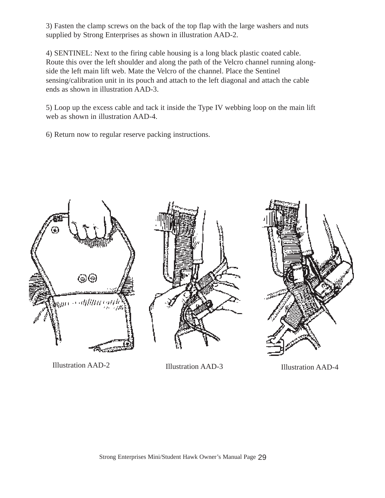3) Fasten the clamp screws on the back of the top flap with the large washers and nuts supplied by Strong Enterprises as shown in illustration AAD-2.

4) SENTINEL: Next to the firing cable housing is a long black plastic coated cable. Route this over the left shoulder and along the path of the Velcro channel running alongside the left main lift web. Mate the Velcro of the channel. Place the Sentinel sensing/calibration unit in its pouch and attach to the left diagonal and attach the cable ends as shown in illustration AAD-3.

5) Loop up the excess cable and tack it inside the Type IV webbing loop on the main lift web as shown in illustration AAD-4.

6) Return now to regular reserve packing instructions.



Illustration AAD-2 Illustration AAD-3 Illustration AAD-4



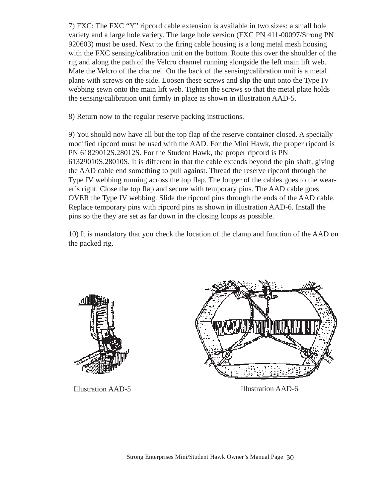7) FXC: The FXC "Y" ripcord cable extension is available in two sizes: a small hole variety and a large hole variety. The large hole version (FXC PN 411-00097/Strong PN 920603) must be used. Next to the firing cable housing is a long metal mesh housing with the FXC sensing/calibration unit on the bottom. Route this over the shoulder of the rig and along the path of the Velcro channel running alongside the left main lift web. Mate the Velcro of the channel. On the back of the sensing/calibration unit is a metal plane with screws on the side. Loosen these screws and slip the unit onto the Type IV webbing sewn onto the main lift web. Tighten the screws so that the metal plate holds the sensing/calibration unit firmly in place as shown in illustration AAD-5.

8) Return now to the regular reserve packing instructions.

9) You should now have all but the top flap of the reserve container closed. A specially modified ripcord must be used with the AAD. For the Mini Hawk, the proper ripcord is PN 61829012S.28012S. For the Student Hawk, the proper ripcord is PN 61329010S.28010S. It is different in that the cable extends beyond the pin shaft, giving the AAD cable end something to pull against. Thread the reserve ripcord through the Type IV webbing running across the top flap. The longer of the cables goes to the wearer's right. Close the top flap and secure with temporary pins. The AAD cable goes OVER the Type IV webbing. Slide the ripcord pins through the ends of the AAD cable. Replace temporary pins with ripcord pins as shown in illustration AAD-6. Install the pins so the they are set as far down in the closing loops as possible.

10) It is mandatory that you check the location of the clamp and function of the AAD on the packed rig.



Illustration AAD-5 Illustration AAD-6

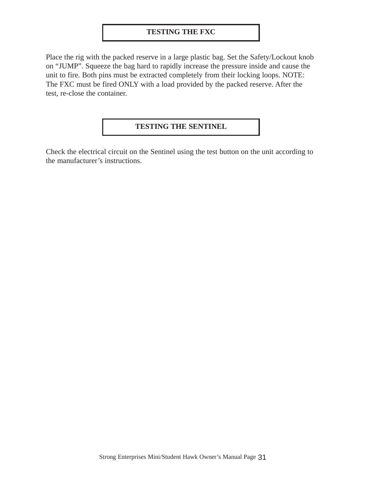#### **TESTING THE FXC**

Place the rig with the packed reserve in a large plastic bag. Set the Safety/Lockout knob on "JUMP". Squeeze the bag hard to rapidly increase the pressure inside and cause the unit to fire. Both pins must be extracted completely from their locking loops. NOTE: The FXC must be fired ONLY with a load provided by the packed reserve. After the test, re-close the container.

#### **TESTING THE SENTINEL**

Check the electrical circuit on the Sentinel using the test button on the unit according to the manufacturer's instructions.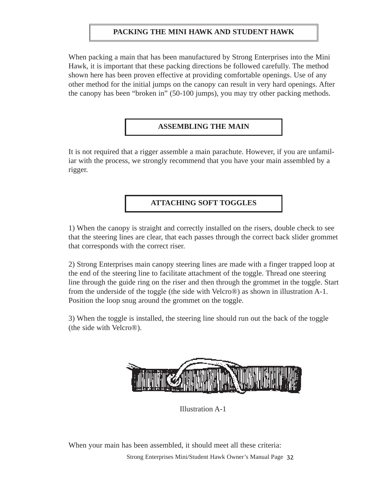#### **PACKING THE MINI HAWK AND STUDENT HAWK**

When packing a main that has been manufactured by Strong Enterprises into the Mini Hawk, it is important that these packing directions be followed carefully. The method shown here has been proven effective at providing comfortable openings. Use of any other method for the initial jumps on the canopy can result in very hard openings. After the canopy has been "broken in" (50-100 jumps), you may try other packing methods.

#### **ASSEMBLING THE MAIN**

It is not required that a rigger assemble a main parachute. However, if you are unfamiliar with the process, we strongly recommend that you have your main assembled by a rigger.

#### **ATTACHING SOFT TOGGLES**

1) When the canopy is straight and correctly installed on the risers, double check to see that the steering lines are clear, that each passes through the correct back slider grommet that corresponds with the correct riser.

2) Strong Enterprises main canopy steering lines are made with a finger trapped loop at the end of the steering line to facilitate attachment of the toggle. Thread one steering line through the guide ring on the riser and then through the grommet in the toggle. Start from the underside of the toggle (the side with Velcro®) as shown in illustration A-1. Position the loop snug around the grommet on the toggle.

3) When the toggle is installed, the steering line should run out the back of the toggle (the side with Velcro®).



Illustration A-1

When your main has been assembled, it should meet all these criteria: Strong Enterprises Mini/Student Hawk Owner's Manual Page 32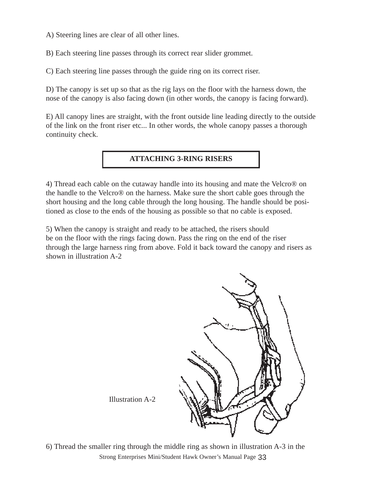A) Steering lines are clear of all other lines.

B) Each steering line passes through its correct rear slider grommet.

C) Each steering line passes through the guide ring on its correct riser.

D) The canopy is set up so that as the rig lays on the floor with the harness down, the nose of the canopy is also facing down (in other words, the canopy is facing forward).

E) All canopy lines are straight, with the front outside line leading directly to the outside of the link on the front riser etc... In other words, the whole canopy passes a thorough continuity check.

#### **ATTACHING 3-RING RISERS**

4) Thread each cable on the cutaway handle into its housing and mate the Velcro® on the handle to the Velcro® on the harness. Make sure the short cable goes through the short housing and the long cable through the long housing. The handle should be positioned as close to the ends of the housing as possible so that no cable is exposed.

5) When the canopy is straight and ready to be attached, the risers should be on the floor with the rings facing down. Pass the ring on the end of the riser through the large harness ring from above. Fold it back toward the canopy and risers as shown in illustration A-2



Illustration A-2

6) Thread the smaller ring through the middle ring as shown in illustration A-3 in the Strong Enterprises Mini/Student Hawk Owner's Manual Page 33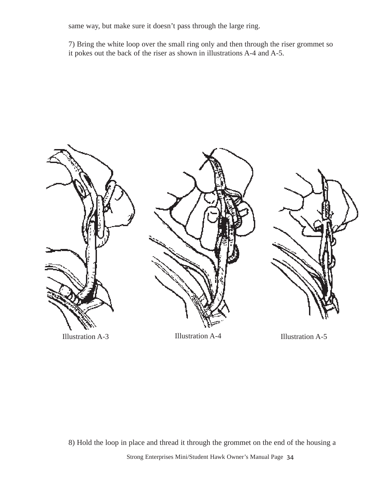same way, but make sure it doesn't pass through the large ring.

7) Bring the white loop over the small ring only and then through the riser grommet so it pokes out the back of the riser as shown in illustrations A-4 and A-5.



8) Hold the loop in place and thread it through the grommet on the end of the housing a Strong Enterprises Mini/Student Hawk Owner's Manual Page 34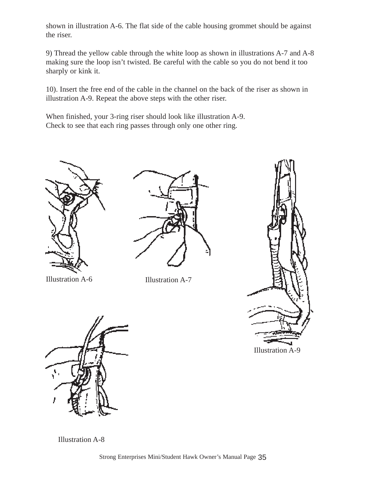shown in illustration A-6. The flat side of the cable housing grommet should be against the riser.

9) Thread the yellow cable through the white loop as shown in illustrations A-7 and A-8 making sure the loop isn't twisted. Be careful with the cable so you do not bend it too sharply or kink it.

10). Insert the free end of the cable in the channel on the back of the riser as shown in illustration A-9. Repeat the above steps with the other riser.

When finished, your 3-ring riser should look like illustration A-9. Check to see that each ring passes through only one other ring.



Illustration A-6 Illustration A-7







Illustration A-8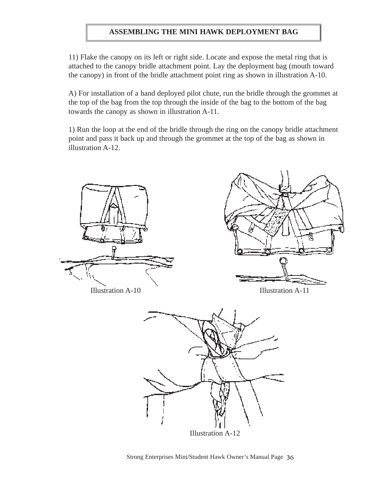#### **ASSEMBLING THE MINI HAWK DEPLOYMENT BAG**

11) Flake the canopy on its left or right side. Locate and expose the metal ring that is attached to the canopy bridle attachment point. Lay the deployment bag (mouth toward the canopy) in front of the bridle attachment point ring as shown in illustration A-10.

A) For installation of a hand deployed pilot chute, run the bridle through the grommet at the top of the bag from the top through the inside of the bag to the bottom of the bag towards the canopy as shown in illustration A-11.

1) Run the loop at the end of the bridle through the ring on the canopy bridle attachment point and pass it back up and through the grommet at the top of the bag as shown in illustration A-12.

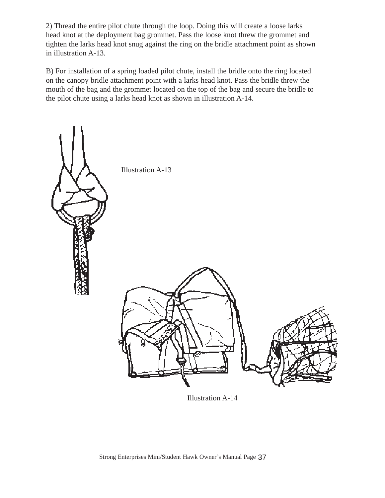2) Thread the entire pilot chute through the loop. Doing this will create a loose larks head knot at the deployment bag grommet. Pass the loose knot threw the grommet and tighten the larks head knot snug against the ring on the bridle attachment point as shown in illustration A-13.

B) For installation of a spring loaded pilot chute, install the bridle onto the ring located on the canopy bridle attachment point with a larks head knot. Pass the bridle threw the mouth of the bag and the grommet located on the top of the bag and secure the bridle to the pilot chute using a larks head knot as shown in illustration A-14.



Illustration A-14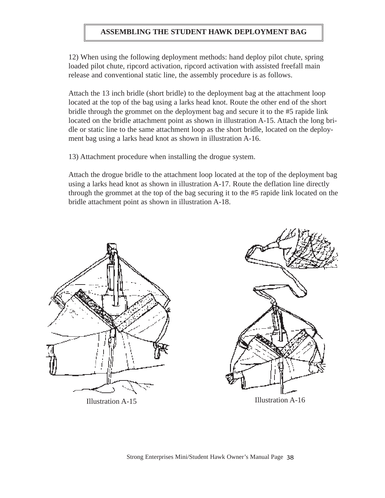#### **ASSEMBLING THE STUDENT HAWK DEPLOYMENT BAG**

12) When using the following deployment methods: hand deploy pilot chute, spring loaded pilot chute, ripcord activation, ripcord activation with assisted freefall main release and conventional static line, the assembly procedure is as follows.

Attach the 13 inch bridle (short bridle) to the deployment bag at the attachment loop located at the top of the bag using a larks head knot. Route the other end of the short bridle through the grommet on the deployment bag and secure it to the #5 rapide link located on the bridle attachment point as shown in illustration A-15. Attach the long bridle or static line to the same attachment loop as the short bridle, located on the deployment bag using a larks head knot as shown in illustration A-16.

13) Attachment procedure when installing the drogue system.

Attach the drogue bridle to the attachment loop located at the top of the deployment bag using a larks head knot as shown in illustration A-17. Route the deflation line directly through the grommet at the top of the bag securing it to the #5 rapide link located on the bridle attachment point as shown in illustration A-18.



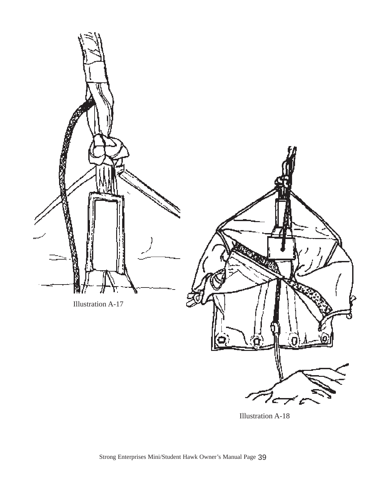

Illustration A-18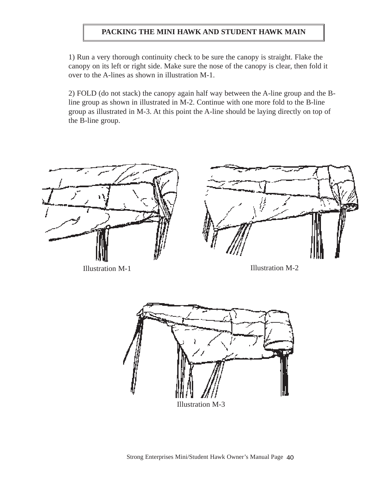#### **PACKING THE MINI HAWK AND STUDENT HAWK MAIN**

1) Run a very thorough continuity check to be sure the canopy is straight. Flake the canopy on its left or right side. Make sure the nose of the canopy is clear, then fold it over to the A-lines as shown in illustration M-1.

2) FOLD (do not stack) the canopy again half way between the A-line group and the Bline group as shown in illustrated in M-2. Continue with one more fold to the B-line group as illustrated in M-3. At this point the A-line should be laying directly on top of the B-line group.



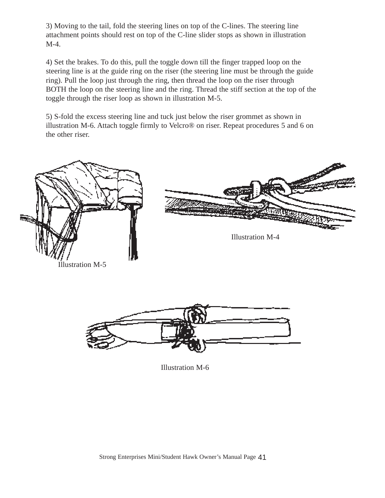3) Moving to the tail, fold the steering lines on top of the C-lines. The steering line attachment points should rest on top of the C-line slider stops as shown in illustration M-4.

4) Set the brakes. To do this, pull the toggle down till the finger trapped loop on the steering line is at the guide ring on the riser (the steering line must be through the guide ring). Pull the loop just through the ring, then thread the loop on the riser through BOTH the loop on the steering line and the ring. Thread the stiff section at the top of the toggle through the riser loop as shown in illustration M-5.

5) S-fold the excess steering line and tuck just below the riser grommet as shown in illustration M-6. Attach toggle firmly to Velcro® on riser. Repeat procedures 5 and 6 on the other riser.





Illustration M-6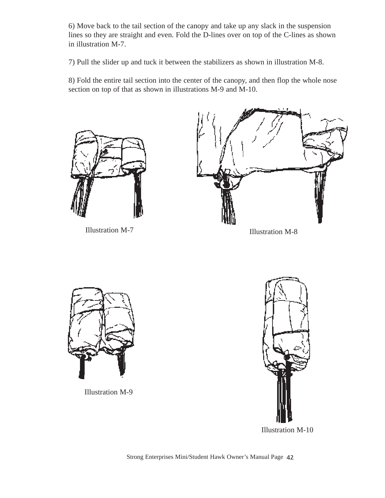6) Move back to the tail section of the canopy and take up any slack in the suspension lines so they are straight and even. Fold the D-lines over on top of the C-lines as shown in illustration M-7.

7) Pull the slider up and tuck it between the stabilizers as shown in illustration M-8.

8) Fold the entire tail section into the center of the canopy, and then flop the whole nose section on top of that as shown in illustrations M-9 and M-10.



Illustration M-7 Illustration M-8





Illustration M-9



Illustration M-10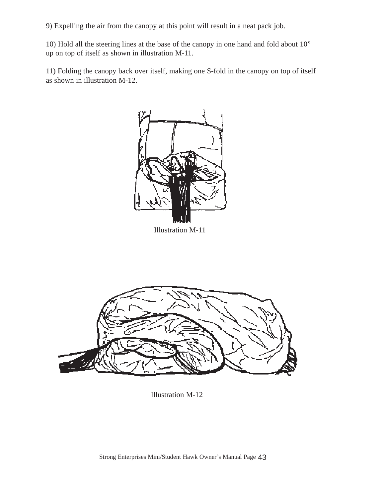9) Expelling the air from the canopy at this point will result in a neat pack job.

10) Hold all the steering lines at the base of the canopy in one hand and fold about 10" up on top of itself as shown in illustration M-11.

11) Folding the canopy back over itself, making one S-fold in the canopy on top of itself as shown in illustration M-12.



Illustration M-11



Illustration M-12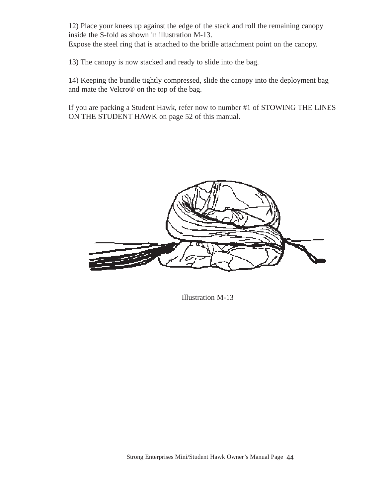12) Place your knees up against the edge of the stack and roll the remaining canopy inside the S-fold as shown in illustration M-13.

Expose the steel ring that is attached to the bridle attachment point on the canopy.

13) The canopy is now stacked and ready to slide into the bag.

14) Keeping the bundle tightly compressed, slide the canopy into the deployment bag and mate the Velcro® on the top of the bag.

If you are packing a Student Hawk, refer now to number #1 of STOWING THE LINES ON THE STUDENT HAWK on page 52 of this manual.



Illustration M-13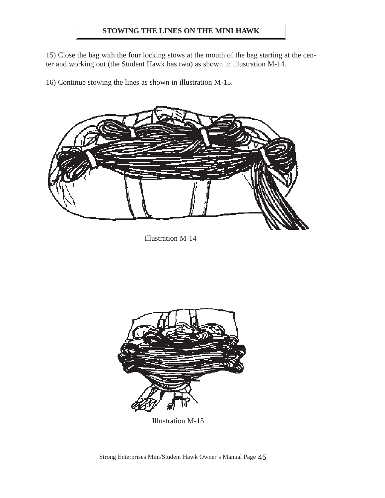#### **STOWING THE LINES ON THE MINI HAWK**

15) Close the bag with the four locking stows at the mouth of the bag starting at the center and working out (the Student Hawk has two) as shown in illustration M-14.

16) Continue stowing the lines as shown in illustration M-15.



Illustration M-14



Illustration M-15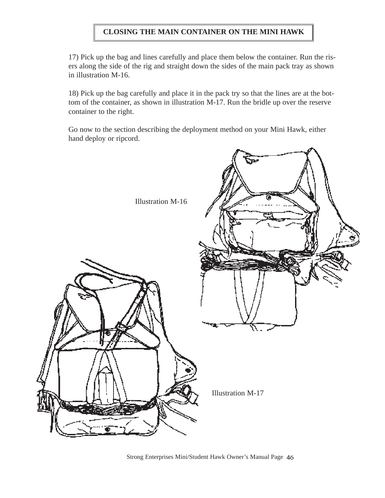#### **CLOSING THE MAIN CONTAINER ON THE MINI HAWK**

17) Pick up the bag and lines carefully and place them below the container. Run the risers along the side of the rig and straight down the sides of the main pack tray as shown in illustration M-16.

18) Pick up the bag carefully and place it in the pack try so that the lines are at the bottom of the container, as shown in illustration M-17. Run the bridle up over the reserve container to the right.

Go now to the section describing the deployment method on your Mini Hawk, either hand deploy or ripcord.



Strong Enterprises Mini/Student Hawk Owner's Manual Page 46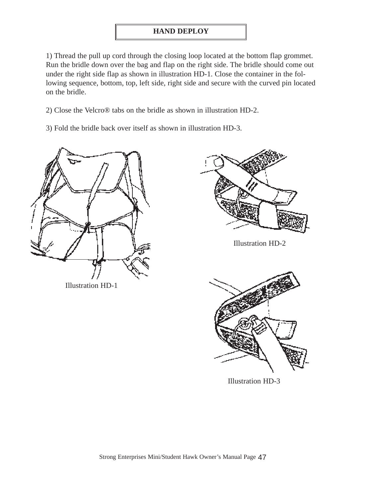#### **HAND DEPLOY**

1) Thread the pull up cord through the closing loop located at the bottom flap grommet. Run the bridle down over the bag and flap on the right side. The bridle should come out under the right side flap as shown in illustration HD-1. Close the container in the following sequence, bottom, top, left side, right side and secure with the curved pin located on the bridle.

2) Close the Velcro® tabs on the bridle as shown in illustration HD-2.

3) Fold the bridle back over itself as shown in illustration HD-3.



Illustration HD-1





Illustration HD-3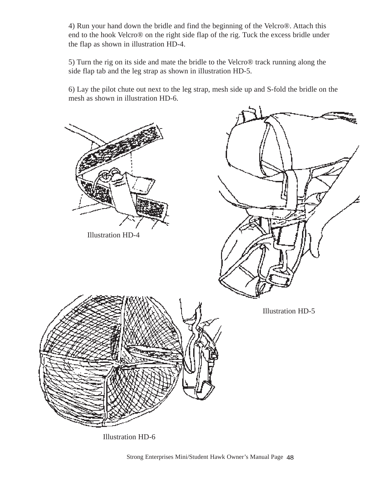4) Run your hand down the bridle and find the beginning of the Velcro®. Attach this end to the hook Velcro® on the right side flap of the rig. Tuck the excess bridle under the flap as shown in illustration HD-4.

5) Turn the rig on its side and mate the bridle to the Velcro® track running along the side flap tab and the leg strap as shown in illustration HD-5.

6) Lay the pilot chute out next to the leg strap, mesh side up and S-fold the bridle on the mesh as shown in illustration HD-6.



Illustration HD-6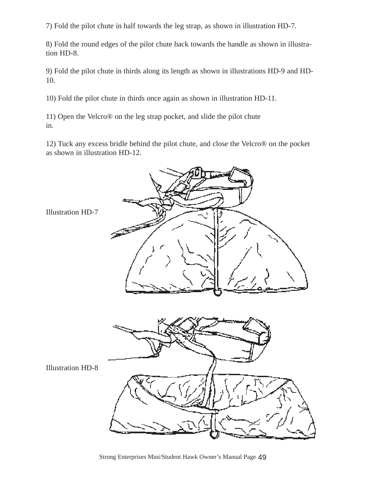7) Fold the pilot chute in half towards the leg strap, as shown in illustration HD-7.

8) Fold the round edges of the pilot chute back towards the handle as shown in illustration HD-8.

9) Fold the pilot chute in thirds along its length as shown in illustrations HD-9 and HD-10.

10) Fold the pilot chute in thirds once again as shown in illustration HD-11.

11) Open the Velcro® on the leg strap pocket, and slide the pilot chute in.

12) Tuck any excess bridle behind the pilot chute, and close the Velcro® on the pocket as shown in illustration HD-12.

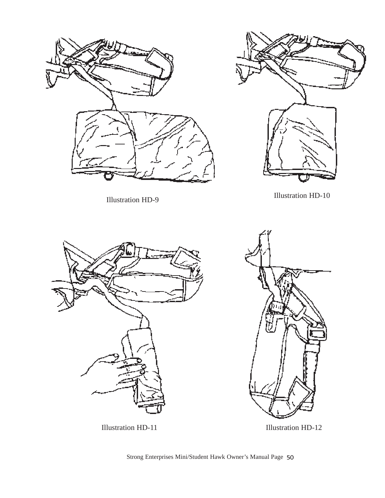



Illustration HD-9 Illustration HD-10





Illustration HD-11 Illustration HD-12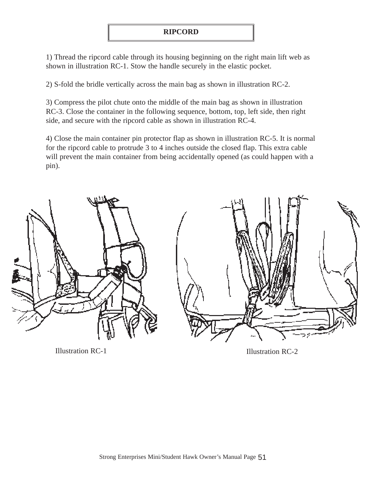1) Thread the ripcord cable through its housing beginning on the right main lift web as shown in illustration RC-1. Stow the handle securely in the elastic pocket.

2) S-fold the bridle vertically across the main bag as shown in illustration RC-2.

3) Compress the pilot chute onto the middle of the main bag as shown in illustration RC-3. Close the container in the following sequence, bottom, top, left side, then right side, and secure with the ripcord cable as shown in illustration RC-4.

4) Close the main container pin protector flap as shown in illustration RC-5. It is normal for the ripcord cable to protrude 3 to 4 inches outside the closed flap. This extra cable will prevent the main container from being accidentally opened (as could happen with a pin).



Illustration RC-1 Illustration RC-2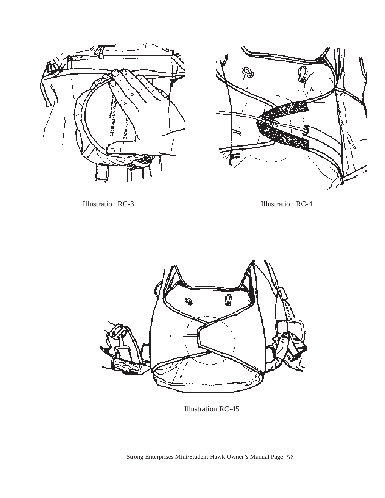



Illustration RC-3 Illustration RC-4



Illustration RC-45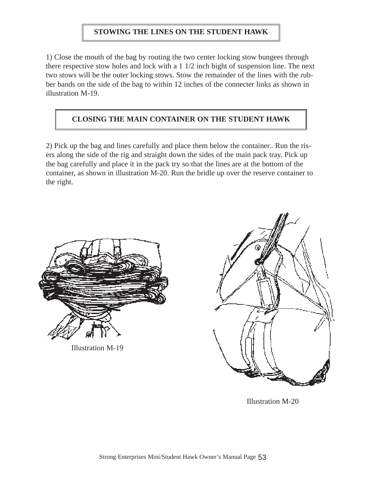#### **STOWING THE LINES ON THE STUDENT HAWK**

1) Close the mouth of the bag by routing the two center locking stow bungees through there respective stow holes and lock with a 1 1/2 inch bight of suspension line. The next two stows will be the outer locking stows. Stow the remainder of the lines with the rubber bands on the side of the bag to within 12 inches of the connecter links as shown in illustration M-19.

#### **CLOSING THE MAIN CONTAINER ON THE STUDENT HAWK**

2) Pick up the bag and lines carefully and place them below the container.. Run the risers along the side of the rig and straight down the sides of the main pack tray. Pick up the bag carefully and place it in the pack try so that the lines are at the bottom of the container, as shown in illustration M-20. Run the bridle up over the reserve container to the right.



Illustration M-19



Illustration M-20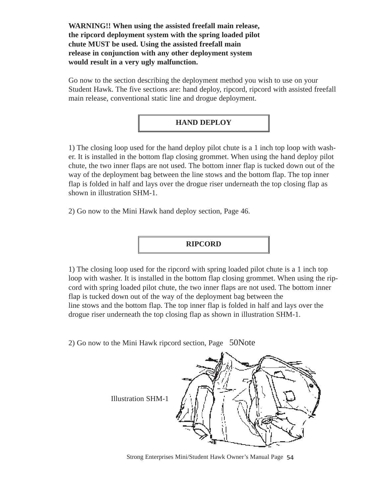**WARNING!! When using the assisted freefall main release, the ripcord deployment system with the spring loaded pilot chute MUST be used. Using the assisted freefall main release in conjunction with any other deployment system would result in a very ugly malfunction.**

Go now to the section describing the deployment method you wish to use on your Student Hawk. The five sections are: hand deploy, ripcord, ripcord with assisted freefall main release, conventional static line and drogue deployment.

#### **HAND DEPLOY**

1) The closing loop used for the hand deploy pilot chute is a 1 inch top loop with washer. It is installed in the bottom flap closing grommet. When using the hand deploy pilot chute, the two inner flaps are not used. The bottom inner flap is tucked down out of the way of the deployment bag between the line stows and the bottom flap. The top inner flap is folded in half and lays over the drogue riser underneath the top closing flap as shown in illustration SHM-1.

2) Go now to the Mini Hawk hand deploy section, Page 46.

**RIPCORD**

1) The closing loop used for the ripcord with spring loaded pilot chute is a 1 inch top loop with washer. It is installed in the bottom flap closing grommet. When using the ripcord with spring loaded pilot chute, the two inner flaps are not used. The bottom inner flap is tucked down out of the way of the deployment bag between the line stows and the bottom flap. The top inner flap is folded in half and lays over the drogue riser underneath the top closing flap as shown in illustration SHM-1.

2) Go now to the Mini Hawk ripcord section, Page 50Note



Strong Enterprises Mini/Student Hawk Owner's Manual Page 54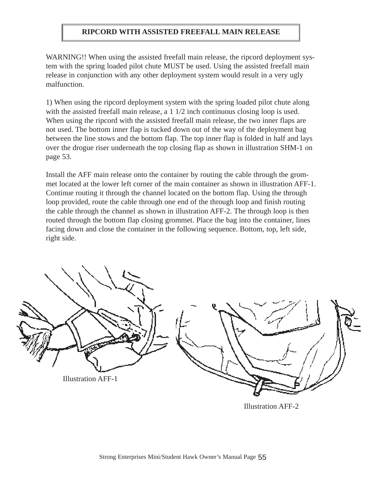#### **RIPCORD WITH ASSISTED FREEFALL MAIN RELEASE**

WARNING!! When using the assisted freefall main release, the ripcord deployment system with the spring loaded pilot chute MUST be used. Using the assisted freefall main release in conjunction with any other deployment system would result in a very ugly malfunction.

1) When using the ripcord deployment system with the spring loaded pilot chute along with the assisted freefall main release, a 1  $1/2$  inch continuous closing loop is used. When using the ripcord with the assisted freefall main release, the two inner flaps are not used. The bottom inner flap is tucked down out of the way of the deployment bag between the line stows and the bottom flap. The top inner flap is folded in half and lays over the drogue riser underneath the top closing flap as shown in illustration SHM-1 on page 53.

Install the AFF main release onto the container by routing the cable through the grommet located at the lower left corner of the main container as shown in illustration AFF-1. Continue routing it through the channel located on the bottom flap. Using the through loop provided, route the cable through one end of the through loop and finish routing the cable through the channel as shown in illustration AFF-2. The through loop is then routed through the bottom flap closing grommet. Place the bag into the container, lines facing down and close the container in the following sequence. Bottom, top, left side, right side.



Illustration AFF-2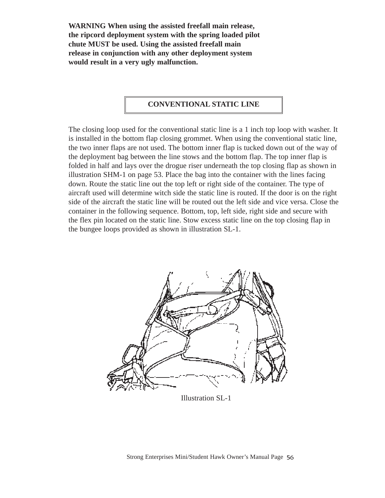**WARNING When using the assisted freefall main release, the ripcord deployment system with the spring loaded pilot chute MUST be used. Using the assisted freefall main release in conjunction with any other deployment system would result in a very ugly malfunction.**

#### **CONVENTIONAL STATIC LINE**

The closing loop used for the conventional static line is a 1 inch top loop with washer. It is installed in the bottom flap closing grommet. When using the conventional static line, the two inner flaps are not used. The bottom inner flap is tucked down out of the way of the deployment bag between the line stows and the bottom flap. The top inner flap is folded in half and lays over the drogue riser underneath the top closing flap as shown in illustration SHM-1 on page 53. Place the bag into the container with the lines facing down. Route the static line out the top left or right side of the container. The type of aircraft used will determine witch side the static line is routed. If the door is on the right side of the aircraft the static line will be routed out the left side and vice versa. Close the container in the following sequence. Bottom, top, left side, right side and secure with the flex pin located on the static line. Stow excess static line on the top closing flap in the bungee loops provided as shown in illustration SL-1.



Illustration SL-1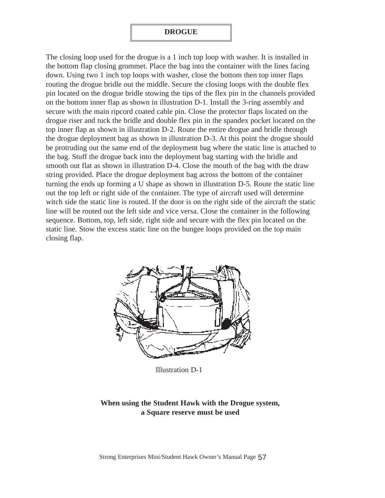#### **DROGUE**

The closing loop used for the drogue is a 1 inch top loop with washer. It is installed in the bottom flap closing grommet. Place the bag into the container with the lines facing down. Using two 1 inch top loops with washer, close the bottom then top inner flaps routing the drogue bridle out the middle. Secure the closing loops with the double flex pin located on the drogue bridle stowing the tips of the flex pin in the channels provided on the bottom inner flap as shown in illustration D-1. Install the 3-ring assembly and secure with the main ripcord coated cable pin. Close the protector flaps located on the drogue riser and tuck the bridle and double flex pin in the spandex pocket located on the top inner flap as shown in illustration D-2. Route the entire drogue and bridle through the drogue deployment bag as shown in illustration D-3. At this point the drogue should be protruding out the same end of the deployment bag where the static line is attached to the bag. Stuff the drogue back into the deployment bag starting with the bridle and smooth out flat as shown in illustration D-4. Close the mouth of the bag with the draw string provided. Place the drogue deployment bag across the bottom of the container turning the ends up forming a U shape as shown in illustration D-5. Route the static line out the top left or right side of the container. The type of aircraft used will determine witch side the static line is routed. If the door is on the right side of the aircraft the static line will be routed out the left side and vice versa. Close the container in the following sequence. Bottom, top, left side, right side and secure with the flex pin located on the static line. Stow the excess static line on the bungee loops provided on the top main closing flap.



Illustration D-1

#### **When using the Student Hawk with the Drogue system, a Square reserve must be used**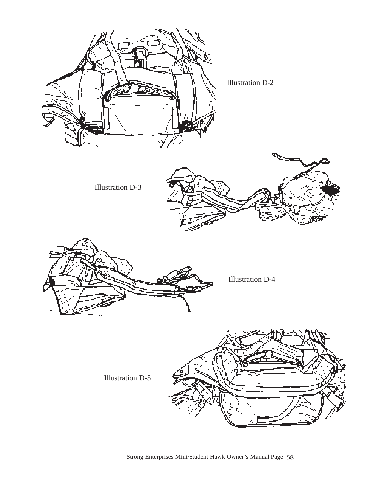

Strong Enterprises Mini/Student Hawk Owner's Manual Page 58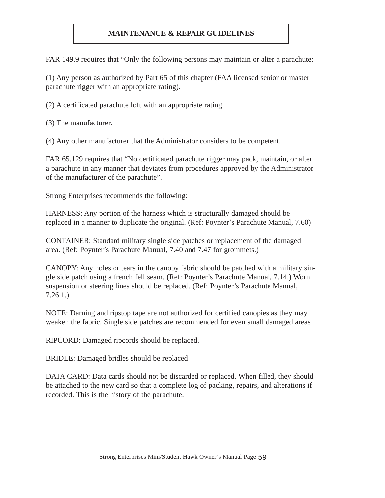#### **MAINTENANCE & REPAIR GUIDELINES**

FAR 149.9 requires that "Only the following persons may maintain or alter a parachute:

(1) Any person as authorized by Part 65 of this chapter (FAA licensed senior or master parachute rigger with an appropriate rating).

(2) A certificated parachute loft with an appropriate rating.

(3) The manufacturer.

(4) Any other manufacturer that the Administrator considers to be competent.

FAR 65.129 requires that "No certificated parachute rigger may pack, maintain, or alter a parachute in any manner that deviates from procedures approved by the Administrator of the manufacturer of the parachute".

Strong Enterprises recommends the following:

HARNESS: Any portion of the harness which is structurally damaged should be replaced in a manner to duplicate the original. (Ref: Poynter's Parachute Manual, 7.60)

CONTAINER: Standard military single side patches or replacement of the damaged area. (Ref: Poynter's Parachute Manual, 7.40 and 7.47 for grommets.)

CANOPY: Any holes or tears in the canopy fabric should be patched with a military single side patch using a french fell seam. (Ref: Poynter's Parachute Manual, 7.14.) Worn suspension or steering lines should be replaced. (Ref: Poynter's Parachute Manual, 7.26.1.)

NOTE: Darning and ripstop tape are not authorized for certified canopies as they may weaken the fabric. Single side patches are recommended for even small damaged areas

RIPCORD: Damaged ripcords should be replaced.

BRIDLE: Damaged bridles should be replaced

DATA CARD: Data cards should not be discarded or replaced. When filled, they should be attached to the new card so that a complete log of packing, repairs, and alterations if recorded. This is the history of the parachute.